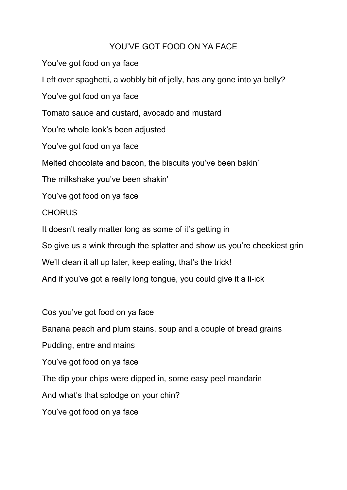## YOU'VE GOT FOOD ON YA FACE

You've got food on ya face Left over spaghetti, a wobbly bit of jelly, has any gone into ya belly? You've got food on ya face Tomato sauce and custard, avocado and mustard You're whole look's been adjusted You've got food on ya face Melted chocolate and bacon, the biscuits you've been bakin' The milkshake you've been shakin' You've got food on ya face **CHORUS** It doesn't really matter long as some of it's getting in So give us a wink through the splatter and show us you're cheekiest grin We'll clean it all up later, keep eating, that's the trick! And if you've got a really long tongue, you could give it a li-ick

Cos you've got food on ya face Banana peach and plum stains, soup and a couple of bread grains Pudding, entre and mains You've got food on ya face The dip your chips were dipped in, some easy peel mandarin And what's that splodge on your chin? You've got food on ya face